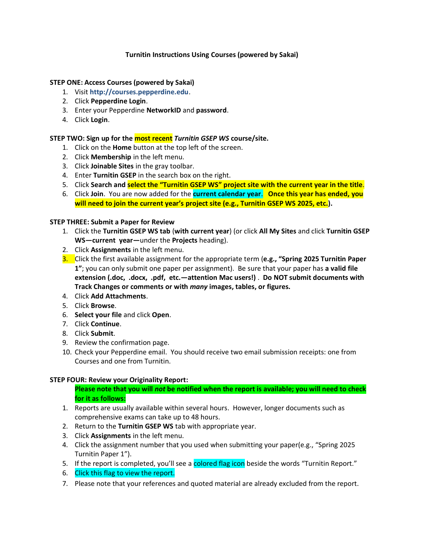## **Turnitin Instructions Using Courses (powered by Sakai)**

## **STEP ONE: Access Courses (powered by Sakai)**

- 1. Visit **[http://courses.pepperdine.edu](http://courses.pepperdine.edu/)**.
- 2. Click **Pepperdine Login**.
- 3. Enter your Pepperdine **NetworkID** and **password**.
- 4. Click **Login**.

## **STEP TWO: Sign up for the most recent** *Turnitin GSEP WS* **course/site.**

- 1. Click on the **Home** button at the top left of the screen.
- 2. Click **Membership** in the left menu.
- 3. Click **Joinable Sites** in the gray toolbar.
- 4. Enter **Turnitin GSEP** in the search box on the right.
- 5. Click **Search and select the "Turnitin GSEP WS" project site with the current year in the title**.
- 6. Click **Join**. You are now added for the **current calendar year**. **Once this year has ended, you will need to join the current year's project site (e.g., Turnitin GSEP WS 2025, etc.).**

#### **STEP THREE: Submit a Paper for Review**

- 1. Click the **Turnitin GSEP WS tab** (**with current year**) (or click **All My Sites** and click **Turnitin GSEP WS—current year—**under the **Projects** heading).
- 2. Click **Assignments** in the left menu.
- 3. Click the first available assignment for the appropriate term (**e.g., "Spring 2025 Turnitin Paper 1"**; you can only submit one paper per assignment). Be sure that your paper has **a valid file extension (.doc, .docx, .pdf, etc.—attention Mac users!)** . **Do NOT submit documents with Track Changes or comments or with** *many* **images, tables, or figures.**
- 4. Click **Add Attachments**.
- 5. Click **Browse**.
- 6. **Select your file** and click **Open**.
- 7. Click **Continue**.
- 8. Click **Submit**.
- 9. Review the confirmation page.
- 10. Check your Pepperdine email. You should receive two email submission receipts: one from Courses and one from Turnitin.

## **STEP FOUR: Review your Originality Report:**

- **Please note that you will** *not* **be notified when the report is available; you will need to check for it as follows:**
- 1. Reports are usually available within several hours. However, longer documents such as comprehensive exams can take up to 48 hours.
- 2. Return to the **Turnitin GSEP WS** tab with appropriate year.
- 3. Click **Assignments** in the left menu.
- 4. Click the assignment number that you used when submitting your paper(e.g., "Spring 2025 Turnitin Paper 1").
- 5. If the report is completed, you'll see a colored flag icon beside the words "Turnitin Report."
- 6. Click this flag to view the report.
- 7. Please note that your references and quoted material are already excluded from the report.